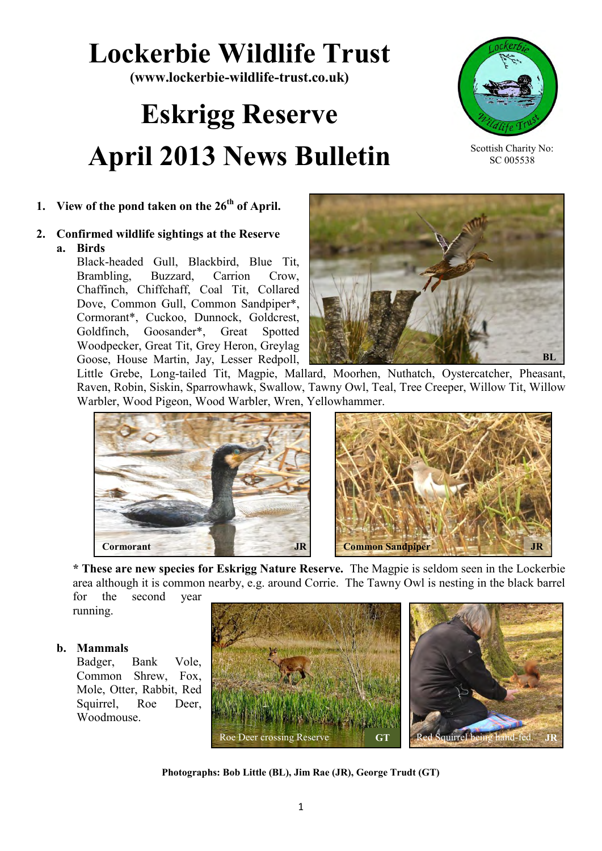## **Lockerbie Wildlife Trust**

**(www.lockerbie-wildlife-trust.co.uk)** 

# **Eskrigg Reserve April 2013 News Bulletin**



Scottish Charity No: SC 005538

### **1. View of the pond taken on the 26th of April.**

#### **2. Confirmed wildlife sightings at the Reserve a. Birds**

Black-headed Gull, Blackbird, Blue Tit, Brambling, Buzzard, Carrion Crow, Chaffinch, Chiffchaff, Coal Tit, Collared Dove, Common Gull, Common Sandpiper\*, Cormorant\*, Cuckoo, Dunnock, Goldcrest, Goldfinch, Goosander\*, Great Spotted Woodpecker, Great Tit, Grey Heron, Greylag Goose, House Martin, Jay, Lesser Redpoll,



Little Grebe, Long-tailed Tit, Magpie, Mallard, Moorhen, Nuthatch, Oystercatcher, Pheasant, Raven, Robin, Siskin, Sparrowhawk, Swallow, Tawny Owl, Teal, Tree Creeper, Willow Tit, Willow Warbler, Wood Pigeon, Wood Warbler, Wren, Yellowhammer.





**\* These are new species for Eskrigg Nature Reserve.** The Magpie is seldom seen in the Lockerbie area although it is common nearby, e.g. around Corrie. The Tawny Owl is nesting in the black barrel for the second year

running.

#### **b. Mammals**

Badger, Bank Vole, Common Shrew, Fox, Mole, Otter, Rabbit, Red Squirrel, Roe Deer, Woodmouse.



**Photographs: Bob Little (BL), Jim Rae (JR), George Trudt (GT)**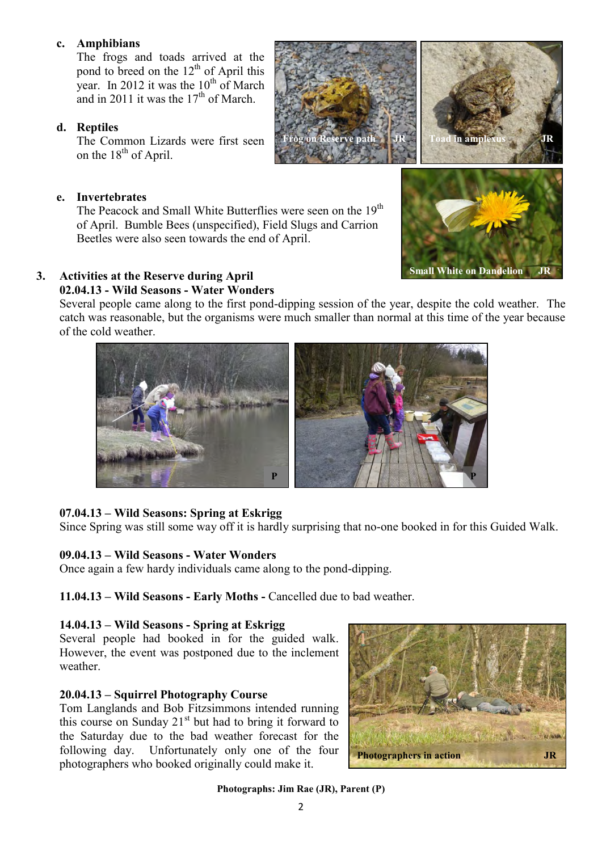#### **c. Amphibians**

The frogs and toads arrived at the pond to breed on the  $12<sup>th</sup>$  of April this year. In 2012 it was the  $10^{th}$  of March and in 2011 it was the  $17<sup>th</sup>$  of March.

#### **d. Reptiles**

The Common Lizards were first seen on the  $18<sup>th</sup>$  of April.

#### **e. Invertebrates**

The Peacock and Small White Butterflies were seen on the 19<sup>th</sup> of April. Bumble Bees (unspecified), Field Slugs and Carrion Beetles were also seen towards the end of April.

#### **3. Activities at the Reserve during April**

#### **02.04.13 - Wild Seasons - Water Wonders**

Several people came along to the first pond-dipping session of the year, despite the cold weather. The catch was reasonable, but the organisms were much smaller than normal at this time of the year because of the cold weather.



Since Spring was still some way off it is hardly surprising that no-one booked in for this Guided Walk.

#### **09.04.13 – Wild Seasons - Water Wonders**

Once again a few hardy individuals came along to the pond-dipping.

**11.04.13 – Wild Seasons - Early Moths -** Cancelled due to bad weather.

#### **14.04.13 – Wild Seasons - Spring at Eskrigg**

Several people had booked in for the guided walk. However, the event was postponed due to the inclement weather.

#### **20.04.13 – Squirrel Photography Course**

Tom Langlands and Bob Fitzsimmons intended running this course on Sunday  $21<sup>st</sup>$  but had to bring it forward to the Saturday due to the bad weather forecast for the following day. Unfortunately only one of the four photographers who booked originally could make it.

**Photographs: Jim Rae (JR), Parent (P)**





**Exerve path** 



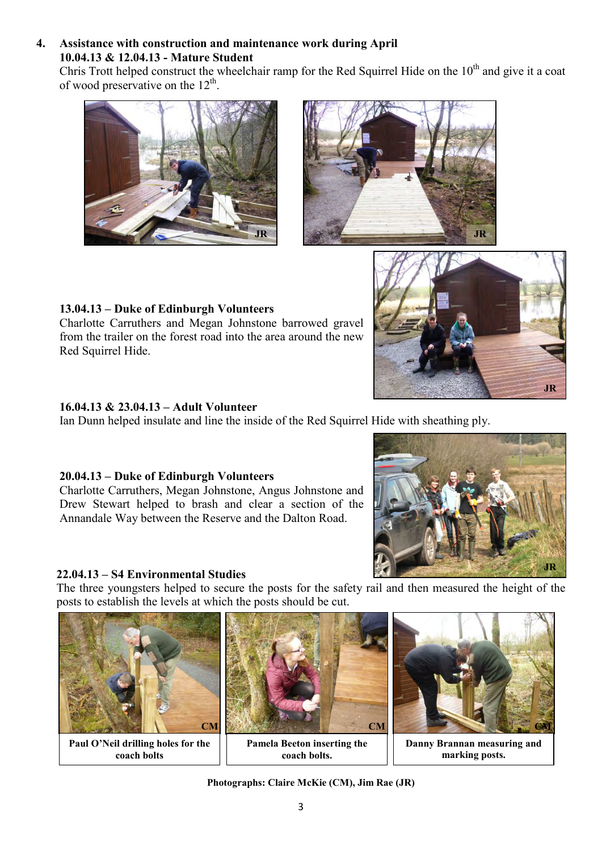#### **4. Assistance with construction and maintenance work during April 10.04.13 & 12.04.13 - Mature Student**

Chris Trott helped construct the wheelchair ramp for the Red Squirrel Hide on the  $10<sup>th</sup>$  and give it a coat of wood preservative on the  $12<sup>th</sup>$ .





#### **13.04.13 – Duke of Edinburgh Volunteers** Charlotte Carruthers and Megan Johnstone barrowed gravel from the trailer on the forest road into the area around the new Red Squirrel Hide.

#### **16.04.13 & 23.04.13 – Adult Volunteer**

Ian Dunn helped insulate and line the inside of the Red Squirrel Hide with sheathing ply.

#### **20.04.13 – Duke of Edinburgh Volunteers**

Charlotte Carruthers, Megan Johnstone, Angus Johnstone and Drew Stewart helped to brash and clear a section of the Annandale Way between the Reserve and the Dalton Road.

#### **22.04.13 – S4 Environmental Studies**

The three youngsters helped to secure the posts for the safety rail and then measured the height of the posts to establish the levels at which the posts should be cut.



**Paul O'Neil drilling holes for the coach bolts**



**Pamela Beeton inserting the coach bolts.**



**JR**

**Danny Brannan measuring and marking posts.**

**Photographs: Claire McKie (CM), Jim Rae (JR)**